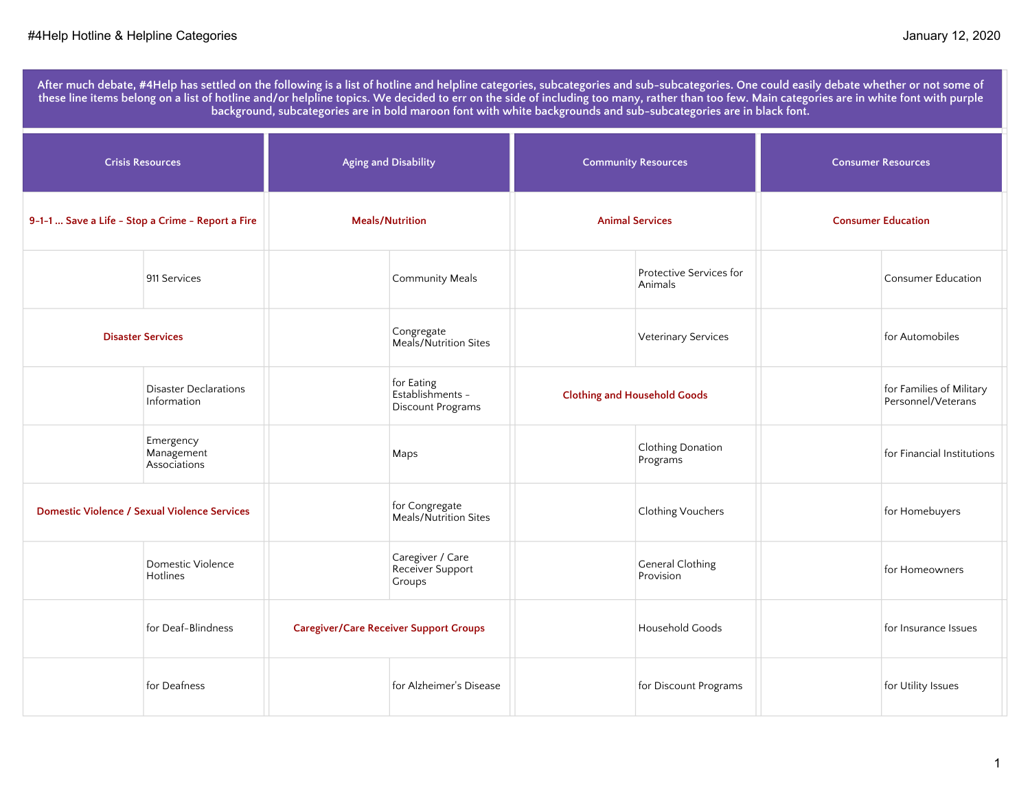**After much debate, #4Help has settled on the following is a list of hotline and helpline categories, subcategories and sub-subcategories. One could easily debate whether or not some of these line items belong on a list of hotline and/or helpline topics. We decided to err on the side of including too many, rather than too few. Main categories are in white font with purple background, subcategories are in bold maroon font with white backgrounds and sub-subcategories are in black font.** 

| <b>Crisis Resources</b>                           |                                                     | <b>Aging and Disability</b> |                                                     | <b>Community Resources</b>          |                                      | <b>Consumer Resources</b> |                                                |
|---------------------------------------------------|-----------------------------------------------------|-----------------------------|-----------------------------------------------------|-------------------------------------|--------------------------------------|---------------------------|------------------------------------------------|
| 9-1-1  Save a Life - Stop a Crime - Report a Fire |                                                     | <b>Meals/Nutrition</b>      |                                                     | <b>Animal Services</b>              |                                      | <b>Consumer Education</b> |                                                |
|                                                   | 911 Services                                        |                             | Community Meals                                     |                                     | Protective Services for<br>Animals   |                           | <b>Consumer Education</b>                      |
| <b>Disaster Services</b>                          |                                                     |                             | Congregate<br>Meals/Nutrition Sites                 |                                     | Veterinary Services                  |                           | for Automobiles                                |
|                                                   | <b>Disaster Declarations</b><br>Information         |                             | for Eating<br>Establishments -<br>Discount Programs | <b>Clothing and Household Goods</b> |                                      |                           | for Families of Military<br>Personnel/Veterans |
|                                                   | Emergency<br>Management<br>Associations             |                             | Maps                                                |                                     | Clothing Donation<br>Programs        |                           | for Financial Institutions                     |
|                                                   | <b>Domestic Violence / Sexual Violence Services</b> |                             | for Congregate<br>Meals/Nutrition Sites             |                                     | Clothing Vouchers                    |                           | for Homebuyers                                 |
|                                                   | Domestic Violence<br>Hotlines                       |                             | Caregiver / Care<br>Receiver Support<br>Groups      |                                     | <b>General Clothing</b><br>Provision |                           | for Homeowners                                 |
|                                                   | for Deaf-Blindness                                  |                             | <b>Caregiver/Care Receiver Support Groups</b>       |                                     | Household Goods                      |                           | for Insurance Issues                           |
|                                                   | for Deafness                                        |                             | for Alzheimer's Disease                             |                                     | for Discount Programs                |                           | for Utility Issues                             |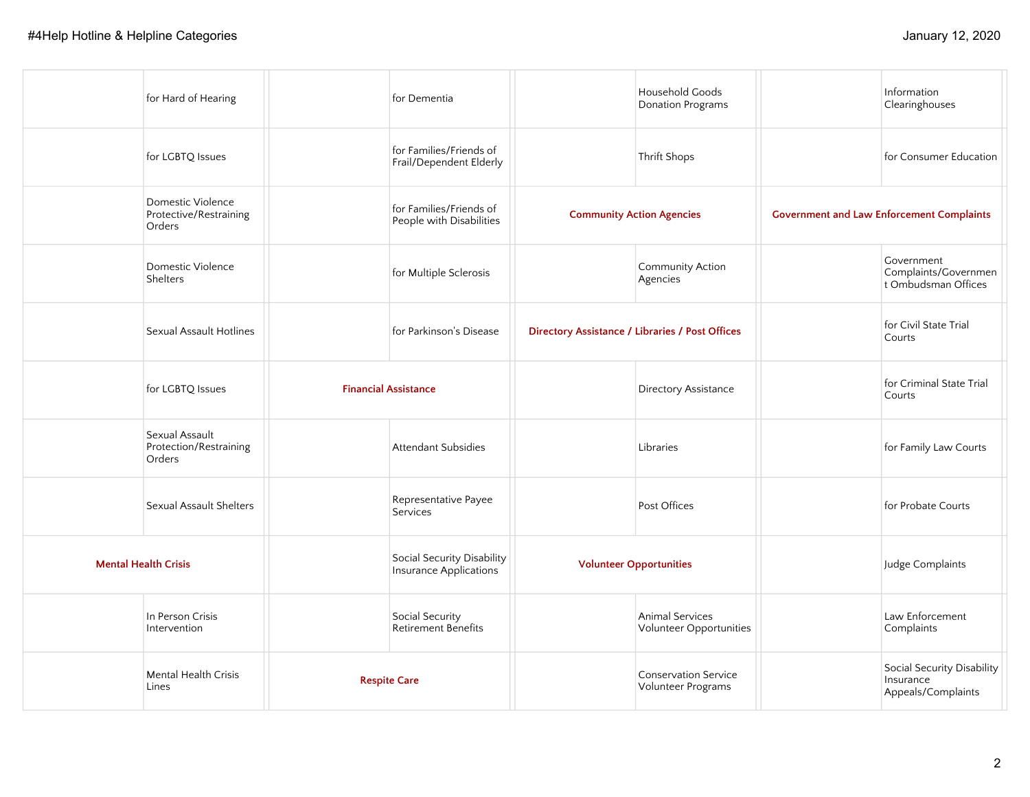| for Hard of Hearing                                   | for Dementia                                         |                                                 | Household Goods<br><b>Donation Programs</b> | Information<br>Clearinghouses                                 |
|-------------------------------------------------------|------------------------------------------------------|-------------------------------------------------|---------------------------------------------|---------------------------------------------------------------|
| for LGBTQ Issues                                      | for Families/Friends of<br>Frail/Dependent Elderly   |                                                 | Thrift Shops                                | for Consumer Education                                        |
| Domestic Violence<br>Protective/Restraining<br>Orders | for Families/Friends of<br>People with Disabilities  | <b>Community Action Agencies</b>                |                                             | <b>Government and Law Enforcement Complaints</b>              |
| Domestic Violence<br><b>Shelters</b>                  | for Multiple Sclerosis                               |                                                 | Community Action<br>Agencies                | Government<br>Complaints/Governmen<br>t Ombudsman Offices     |
| <b>Sexual Assault Hotlines</b>                        | for Parkinson's Disease                              | Directory Assistance / Libraries / Post Offices |                                             | for Civil State Trial<br>Courts                               |
| for LGBTQ Issues                                      | <b>Financial Assistance</b>                          |                                                 | Directory Assistance                        | for Criminal State Trial<br>Courts                            |
| Sexual Assault<br>Protection/Restraining<br>Orders    | <b>Attendant Subsidies</b>                           |                                                 | Libraries                                   | for Family Law Courts                                         |
| Sexual Assault Shelters                               | Representative Payee<br><b>Services</b>              |                                                 | Post Offices                                | for Probate Courts                                            |
| <b>Mental Health Crisis</b>                           | Social Security Disability<br>Insurance Applications | <b>Volunteer Opportunities</b>                  |                                             | Judge Complaints                                              |
| In Person Crisis<br>Intervention                      | Social Security<br>Retirement Benefits               |                                                 | Animal Services<br>Volunteer Opportunities  | Law Enforcement<br>Complaints                                 |
| <b>Mental Health Crisis</b><br>Lines                  | <b>Respite Care</b>                                  |                                                 | Conservation Service<br>Volunteer Programs  | Social Security Disability<br>Insurance<br>Appeals/Complaints |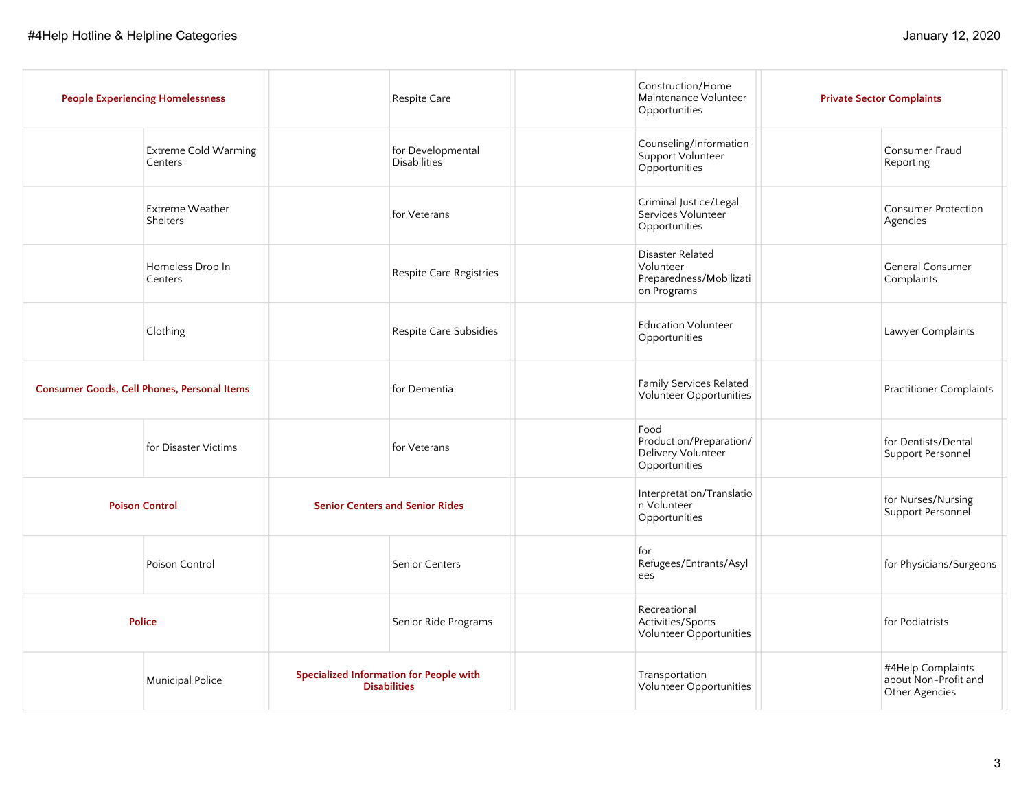| <b>People Experiencing Homelessness</b>     |  | Respite Care                                                   | Construction/Home<br>Maintenance Volunteer<br>Opportunities             | <b>Private Sector Complaints</b>                            |
|---------------------------------------------|--|----------------------------------------------------------------|-------------------------------------------------------------------------|-------------------------------------------------------------|
| <b>Extreme Cold Warming</b><br>Centers      |  | for Developmental<br><b>Disabilities</b>                       | Counseling/Information<br>Support Volunteer<br>Opportunities            | Consumer Fraud<br>Reporting                                 |
| Extreme Weather<br>Shelters                 |  | for Veterans                                                   | Criminal Justice/Legal<br>Services Volunteer<br>Opportunities           | <b>Consumer Protection</b><br>Agencies                      |
| Homeless Drop In<br>Centers                 |  | Respite Care Registries                                        | Disaster Related<br>Volunteer<br>Preparedness/Mobilizati<br>on Programs | General Consumer<br>Complaints                              |
| Clothing                                    |  | Respite Care Subsidies                                         | <b>Education Volunteer</b><br>Opportunities                             | Lawyer Complaints                                           |
| Consumer Goods, Cell Phones, Personal Items |  | for Dementia                                                   | Family Services Related<br>Volunteer Opportunities                      | <b>Practitioner Complaints</b>                              |
| for Disaster Victims                        |  | for Veterans                                                   | Food<br>Production/Preparation/<br>Delivery Volunteer<br>Opportunities  | for Dentists/Dental<br>Support Personnel                    |
| <b>Poison Control</b>                       |  | <b>Senior Centers and Senior Rides</b>                         | Interpretation/Translatio<br>n Volunteer<br>Opportunities               | for Nurses/Nursing<br>Support Personnel                     |
| Poison Control                              |  | Senior Centers                                                 | for<br>Refugees/Entrants/Asyl<br>ees                                    | for Physicians/Surgeons                                     |
| <b>Police</b>                               |  | Senior Ride Programs                                           | Recreational<br>Activities/Sports<br>Volunteer Opportunities            | for Podiatrists                                             |
| <b>Municipal Police</b>                     |  | Specialized Information for People with<br><b>Disabilities</b> | Transportation<br>Volunteer Opportunities                               | #4Help Complaints<br>about Non-Profit and<br>Other Agencies |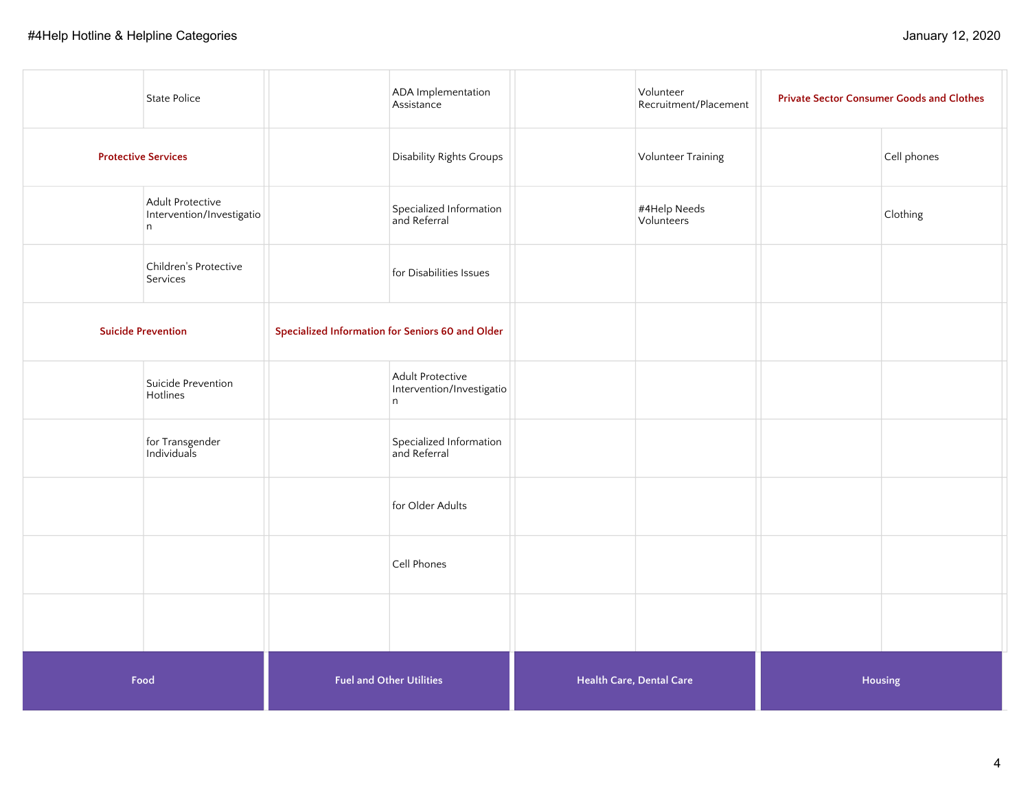|                            | State Police                                       |                                 | ADA Implementation<br>Assistance                   |                                 | Volunteer<br>Recruitment/Placement | <b>Private Sector Consumer Goods and Clothes</b> |
|----------------------------|----------------------------------------------------|---------------------------------|----------------------------------------------------|---------------------------------|------------------------------------|--------------------------------------------------|
| <b>Protective Services</b> |                                                    |                                 | Disability Rights Groups                           |                                 | Volunteer Training                 | Cell phones                                      |
|                            | Adult Protective<br>Intervention/Investigatio<br>n |                                 | Specialized Information<br>and Referral            |                                 | #4Help Needs<br>Volunteers         | Clothing                                         |
|                            | Children's Protective<br>Services                  |                                 | for Disabilities Issues                            |                                 |                                    |                                                  |
|                            | <b>Suicide Prevention</b>                          |                                 | Specialized Information for Seniors 60 and Older   |                                 |                                    |                                                  |
|                            | Suicide Prevention<br>Hotlines                     |                                 | Adult Protective<br>Intervention/Investigatio<br>n |                                 |                                    |                                                  |
|                            | for Transgender<br>Individuals                     |                                 | Specialized Information<br>and Referral            |                                 |                                    |                                                  |
|                            |                                                    |                                 | for Older Adults                                   |                                 |                                    |                                                  |
|                            |                                                    |                                 | Cell Phones                                        |                                 |                                    |                                                  |
|                            |                                                    |                                 |                                                    |                                 |                                    |                                                  |
| Food                       |                                                    | <b>Fuel and Other Utilities</b> |                                                    | <b>Health Care, Dental Care</b> |                                    | Housing                                          |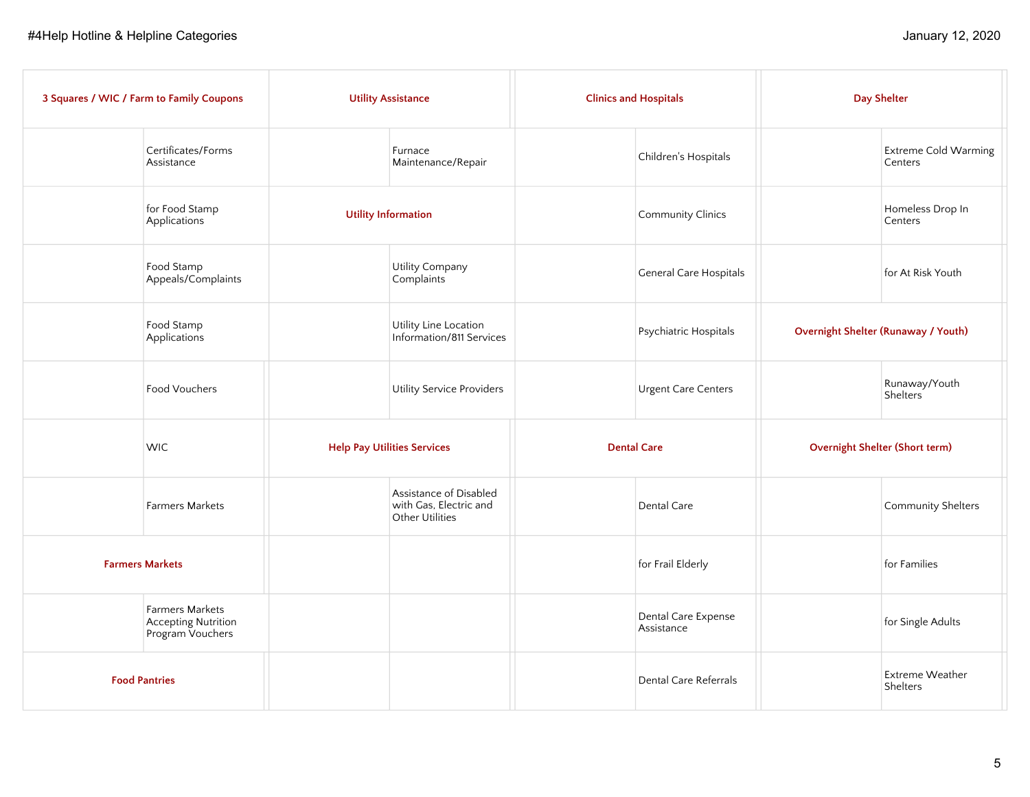|                        | 3 Squares / WIC / Farm to Family Coupons                          | <b>Utility Assistance</b>          |                                                                     | <b>Clinics and Hospitals</b>      | <b>Day Shelter</b> |                                        |
|------------------------|-------------------------------------------------------------------|------------------------------------|---------------------------------------------------------------------|-----------------------------------|--------------------|----------------------------------------|
|                        | Certificates/Forms<br>Assistance                                  |                                    | Furnace<br>Maintenance/Repair                                       | Children's Hospitals              |                    | <b>Extreme Cold Warming</b><br>Centers |
|                        | for Food Stamp<br>Applications                                    | <b>Utility Information</b>         |                                                                     | Community Clinics                 |                    | Homeless Drop In<br>Centers            |
|                        | Food Stamp<br>Appeals/Complaints                                  |                                    | Utility Company<br>Complaints                                       | <b>General Care Hospitals</b>     |                    | for At Risk Youth                      |
|                        | Food Stamp<br>Applications                                        |                                    | Utility Line Location<br>Information/811 Services                   | Psychiatric Hospitals             |                    | Overnight Shelter (Runaway / Youth)    |
|                        | Food Vouchers                                                     |                                    | Utility Service Providers                                           | <b>Urgent Care Centers</b>        |                    | Runaway/Youth<br>Shelters <sup>®</sup> |
|                        | <b>WIC</b>                                                        | <b>Help Pay Utilities Services</b> |                                                                     | <b>Dental Care</b>                |                    | Overnight Shelter (Short term)         |
|                        | <b>Farmers Markets</b>                                            |                                    | Assistance of Disabled<br>with Gas, Electric and<br>Other Utilities | Dental Care                       |                    | Community Shelters                     |
| <b>Farmers Markets</b> |                                                                   |                                    |                                                                     | for Frail Elderly                 |                    | for Families                           |
|                        | Farmers Markets<br><b>Accepting Nutrition</b><br>Program Vouchers |                                    |                                                                     | Dental Care Expense<br>Assistance |                    | for Single Adults                      |
|                        | <b>Food Pantries</b>                                              |                                    |                                                                     | Dental Care Referrals             |                    | <b>Extreme Weather</b><br>Shelters     |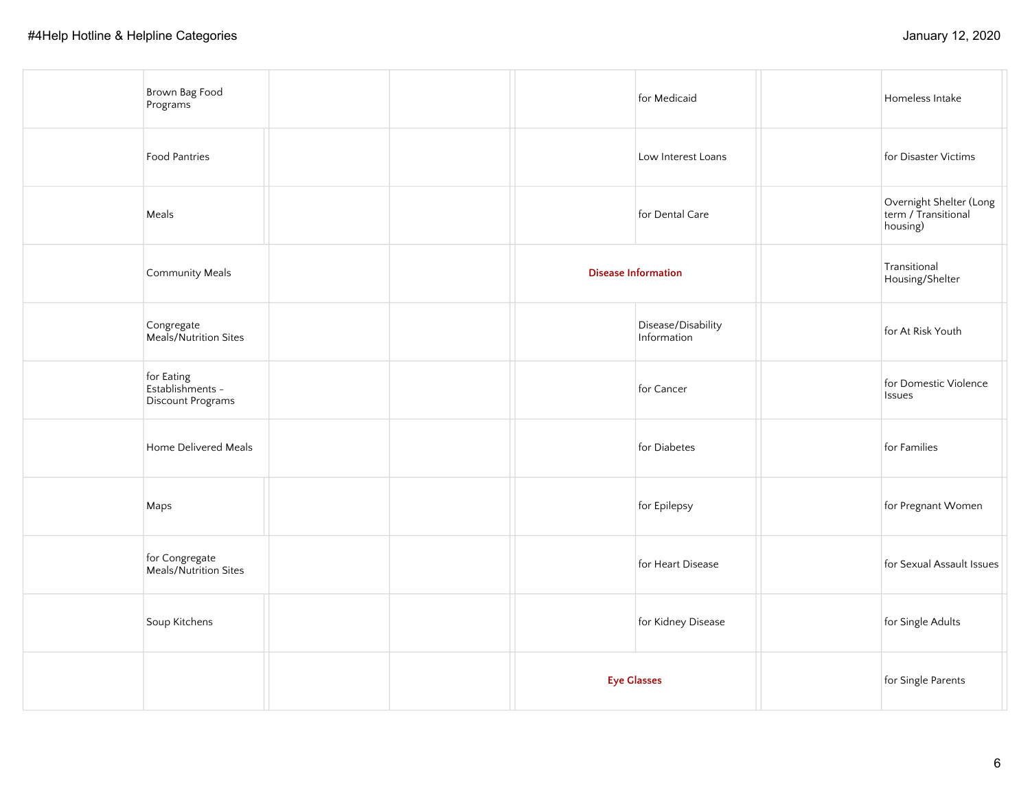| Brown Bag Food<br>Programs                          |  |                    | for Medicaid                      | Homeless Intake                                            |
|-----------------------------------------------------|--|--------------------|-----------------------------------|------------------------------------------------------------|
| Food Pantries                                       |  |                    | Low Interest Loans                | for Disaster Victims                                       |
| Meals                                               |  |                    | for Dental Care                   | Overnight Shelter (Long<br>term / Transitional<br>housing) |
| <b>Community Meals</b>                              |  |                    | <b>Disease Information</b>        | Transitional<br>Housing/Shelter                            |
| Congregate<br>Meals/Nutrition Sites                 |  |                    | Disease/Disability<br>Information | for At Risk Youth                                          |
| for Eating<br>Establishments -<br>Discount Programs |  |                    | for Cancer                        | for Domestic Violence<br><b>Issues</b>                     |
| Home Delivered Meals                                |  |                    | for Diabetes                      | for Families                                               |
| Maps                                                |  |                    | for Epilepsy                      | for Pregnant Women                                         |
| for Congregate<br>Meals/Nutrition Sites             |  |                    | for Heart Disease                 | for Sexual Assault Issues                                  |
| Soup Kitchens                                       |  |                    | for Kidney Disease                | for Single Adults                                          |
|                                                     |  | <b>Eye Glasses</b> |                                   | for Single Parents                                         |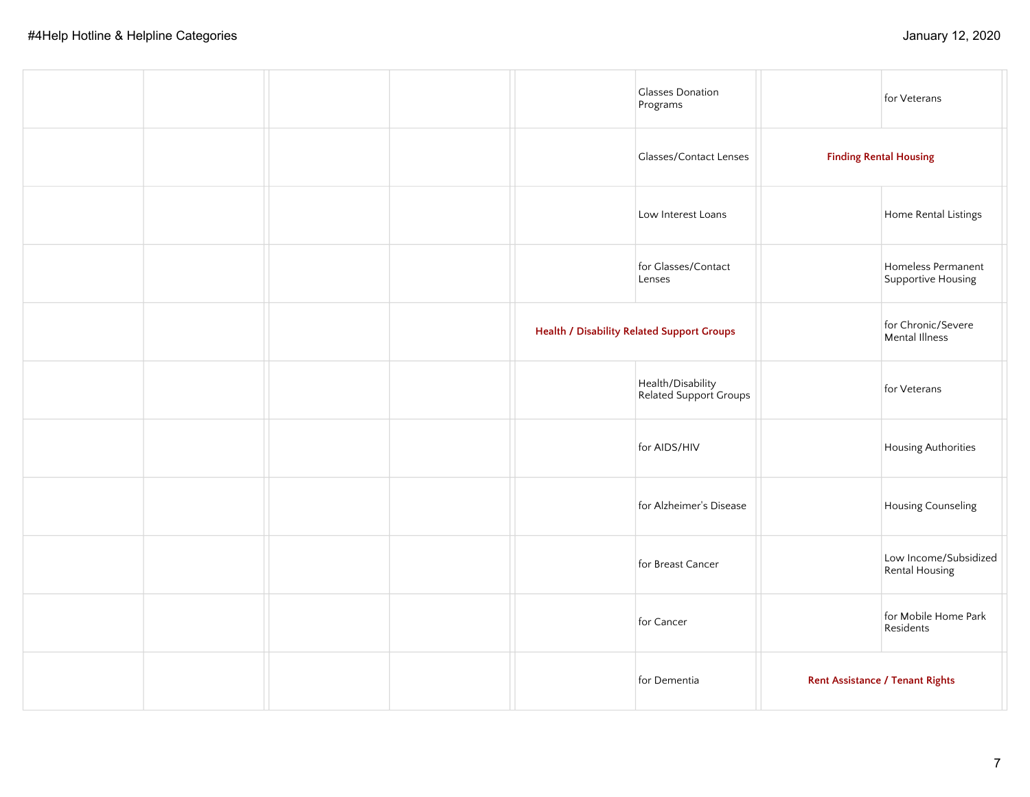|  |  | <b>Glasses Donation</b><br>Programs               | for Veterans                             |
|--|--|---------------------------------------------------|------------------------------------------|
|  |  | <b>Glasses/Contact Lenses</b>                     | <b>Finding Rental Housing</b>            |
|  |  | Low Interest Loans                                | Home Rental Listings                     |
|  |  | for Glasses/Contact<br>Lenses                     | Homeless Permanent<br>Supportive Housing |
|  |  | <b>Health / Disability Related Support Groups</b> | for Chronic/Severe<br>Mental Illness     |
|  |  | Health/Disability<br>Related Support Groups       | for Veterans                             |
|  |  | for AIDS/HIV                                      | Housing Authorities                      |
|  |  | for Alzheimer's Disease                           | Housing Counseling                       |
|  |  | for Breast Cancer                                 | Low Income/Subsidized<br>Rental Housing  |
|  |  | for Cancer                                        | for Mobile Home Park<br>Residents        |
|  |  | for Dementia                                      | <b>Rent Assistance / Tenant Rights</b>   |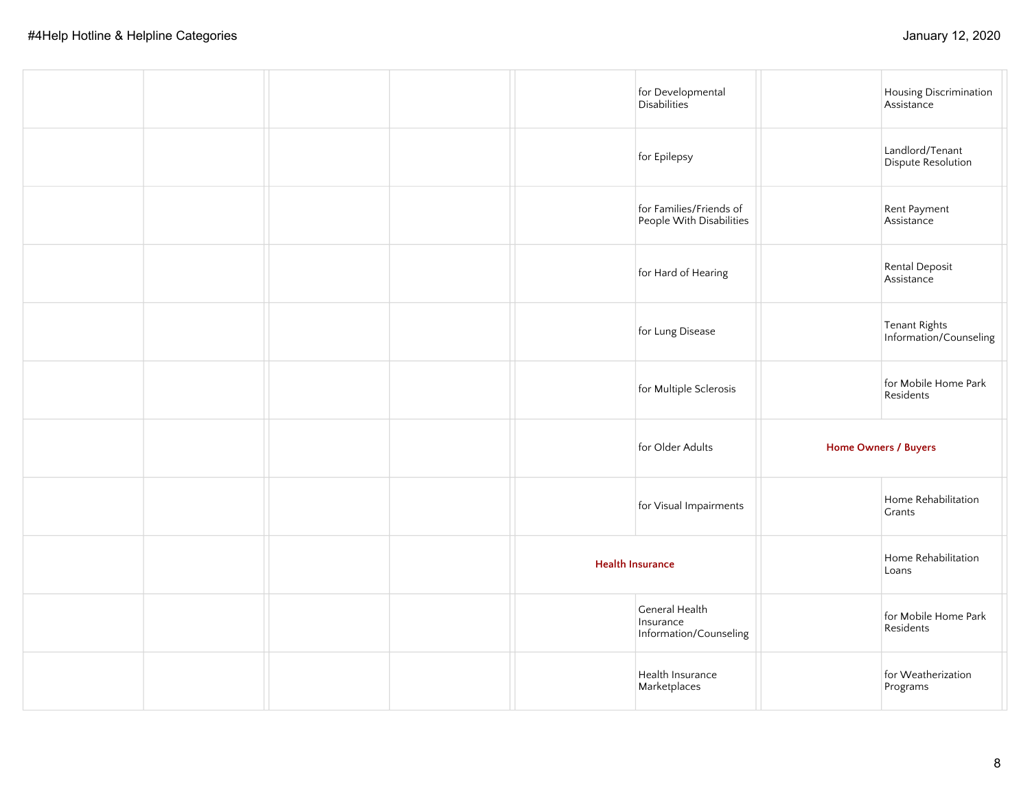|  |  |                         | for Developmental<br>Disabilities                     | Housing Discrimination<br>Assistance    |
|--|--|-------------------------|-------------------------------------------------------|-----------------------------------------|
|  |  |                         | for Epilepsy                                          | Landlord/Tenant<br>Dispute Resolution   |
|  |  |                         | for Families/Friends of<br>People With Disabilities   | Rent Payment<br>Assistance              |
|  |  |                         | for Hard of Hearing                                   | Rental Deposit<br>Assistance            |
|  |  |                         | for Lung Disease                                      | Tenant Rights<br>Information/Counseling |
|  |  |                         | for Multiple Sclerosis                                | for Mobile Home Park<br>Residents       |
|  |  |                         | for Older Adults                                      | Home Owners / Buyers                    |
|  |  |                         | for Visual Impairments                                | Home Rehabilitation<br><b>Grants</b>    |
|  |  | <b>Health Insurance</b> |                                                       | Home Rehabilitation<br>Loans            |
|  |  |                         | General Health<br>Insurance<br>Information/Counseling | for Mobile Home Park<br>Residents       |
|  |  |                         | Health Insurance<br>Marketplaces                      | for Weatherization<br>Programs          |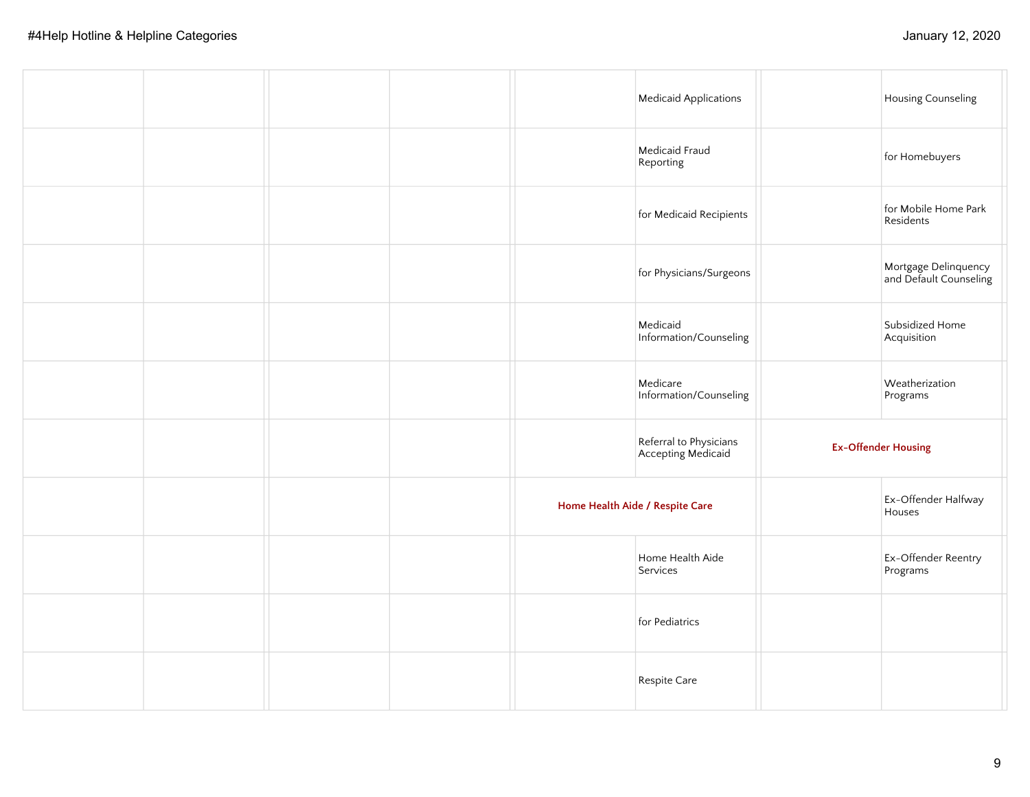|  |  |                                 | <b>Medicaid Applications</b>                 | Housing Counseling                             |  |
|--|--|---------------------------------|----------------------------------------------|------------------------------------------------|--|
|  |  |                                 | Medicaid Fraud<br>Reporting                  | for Homebuyers                                 |  |
|  |  |                                 | for Medicaid Recipients                      | for Mobile Home Park<br>Residents              |  |
|  |  |                                 | for Physicians/Surgeons                      | Mortgage Delinquency<br>and Default Counseling |  |
|  |  |                                 | Medicaid<br>Information/Counseling           | Subsidized Home<br>Acquisition                 |  |
|  |  |                                 | Medicare<br>Information/Counseling           | Weatherization<br>Programs                     |  |
|  |  |                                 | Referral to Physicians<br>Accepting Medicaid | <b>Ex-Offender Housing</b>                     |  |
|  |  | Home Health Aide / Respite Care |                                              | Ex-Offender Halfway<br>Houses                  |  |
|  |  |                                 | Home Health Aide<br>Services                 | Ex-Offender Reentry<br>Programs                |  |
|  |  |                                 | for Pediatrics                               |                                                |  |
|  |  |                                 | Respite Care                                 |                                                |  |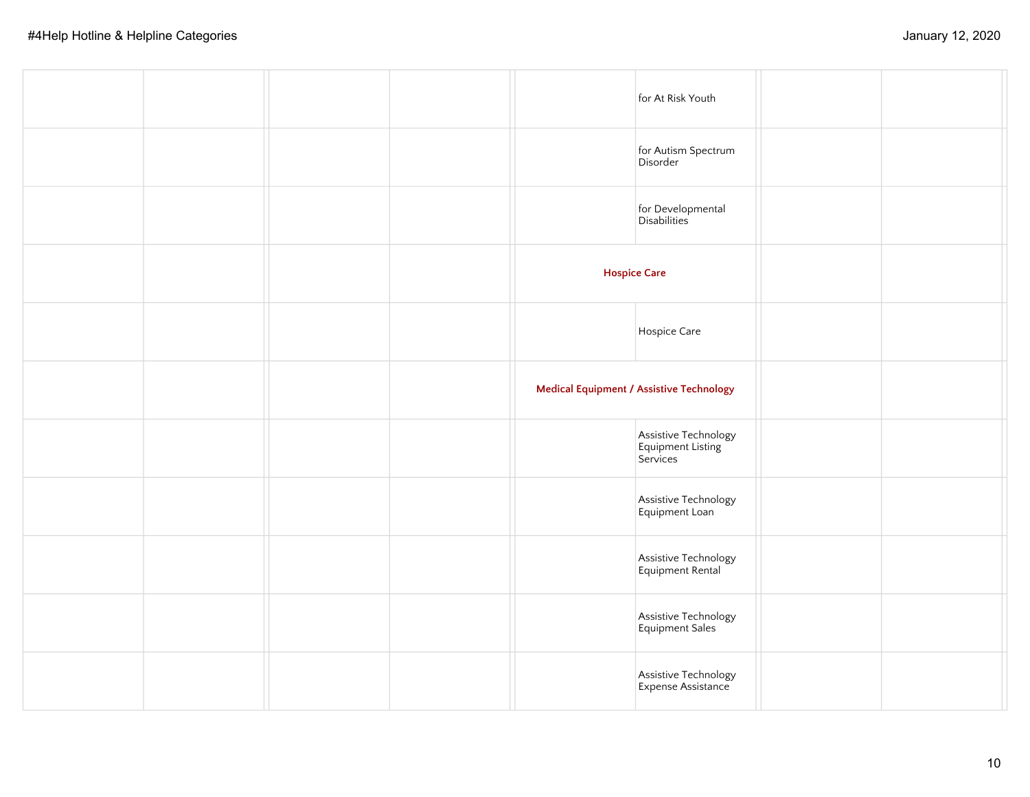|  |  | for At Risk Youth                                     |  |
|--|--|-------------------------------------------------------|--|
|  |  | for Autism Spectrum<br>Disorder                       |  |
|  |  | for Developmental<br>Disabilities                     |  |
|  |  | <b>Hospice Care</b>                                   |  |
|  |  | Hospice Care                                          |  |
|  |  | <b>Medical Equipment / Assistive Technology</b>       |  |
|  |  | Assistive Technology<br>Equipment Listing<br>Services |  |
|  |  | Assistive Technology<br>Equipment Loan                |  |
|  |  | Assistive Technology<br>Equipment Rental              |  |
|  |  | Assistive Technology<br>Equipment Sales               |  |
|  |  | Assistive Technology<br>Expense Assistance            |  |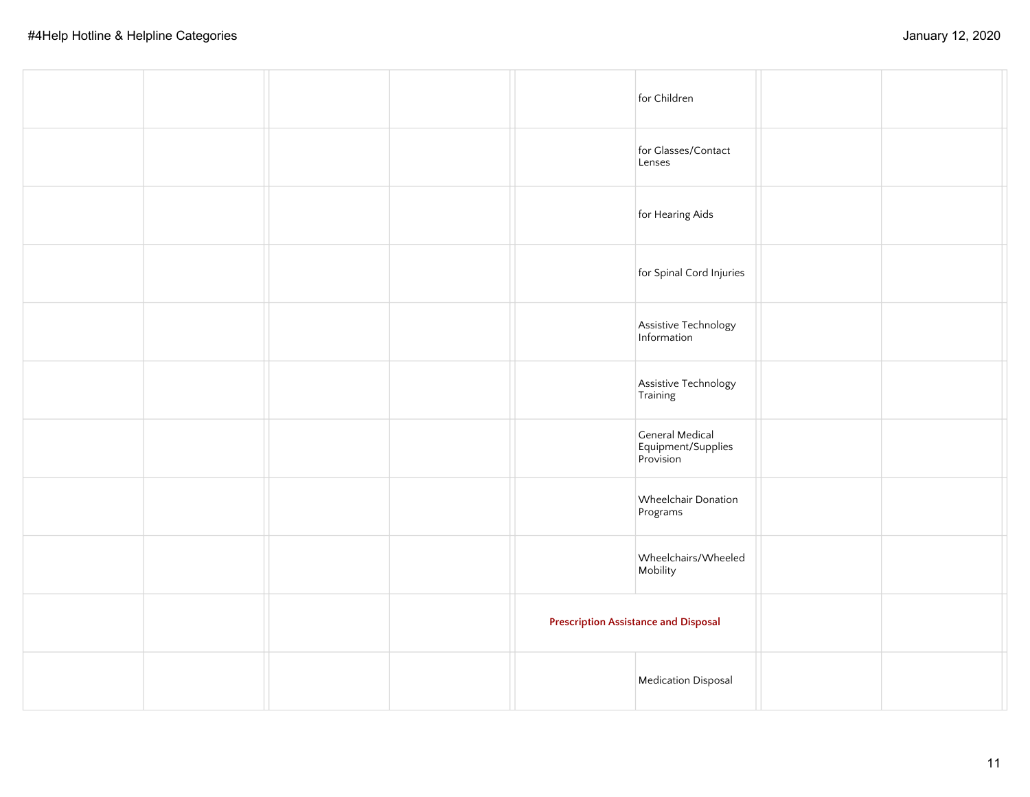|  |  | for Children                                       |  |
|--|--|----------------------------------------------------|--|
|  |  | for Glasses/Contact<br>Lenses                      |  |
|  |  | for Hearing Aids                                   |  |
|  |  | for Spinal Cord Injuries                           |  |
|  |  | Assistive Technology<br>Information                |  |
|  |  | Assistive Technology<br>Training                   |  |
|  |  | General Medical<br>Equipment/Supplies<br>Provision |  |
|  |  | Wheelchair Donation<br>Programs                    |  |
|  |  | Wheelchairs/Wheeled<br>Mobility                    |  |
|  |  | <b>Prescription Assistance and Disposal</b>        |  |
|  |  | Medication Disposal                                |  |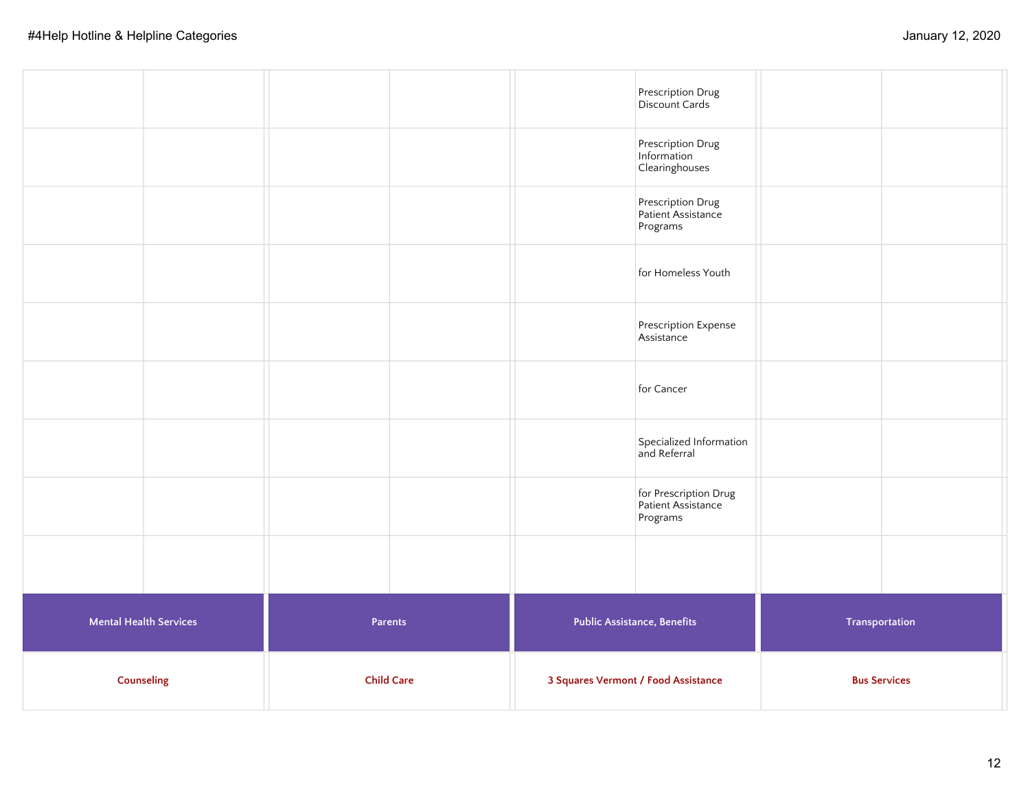|                               |         | 3 Squares Vermont / Food Assistance |                                                         |                |  |
|-------------------------------|---------|-------------------------------------|---------------------------------------------------------|----------------|--|
| <b>Mental Health Services</b> | Parents | <b>Public Assistance, Benefits</b>  |                                                         | Transportation |  |
|                               |         |                                     |                                                         |                |  |
|                               |         |                                     | for Prescription Drug<br>Patient Assistance<br>Programs |                |  |
|                               |         |                                     | Specialized Information<br>and Referral                 |                |  |
|                               |         |                                     | for Cancer                                              |                |  |
|                               |         |                                     | Prescription Expense<br>Assistance                      |                |  |
|                               |         |                                     | for Homeless Youth                                      |                |  |
|                               |         |                                     | Prescription Drug<br>Patient Assistance<br>Programs     |                |  |
|                               |         |                                     | Prescription Drug<br>Information<br>Clearinghouses      |                |  |
|                               |         | Prescription Drug<br>Discount Cards |                                                         |                |  |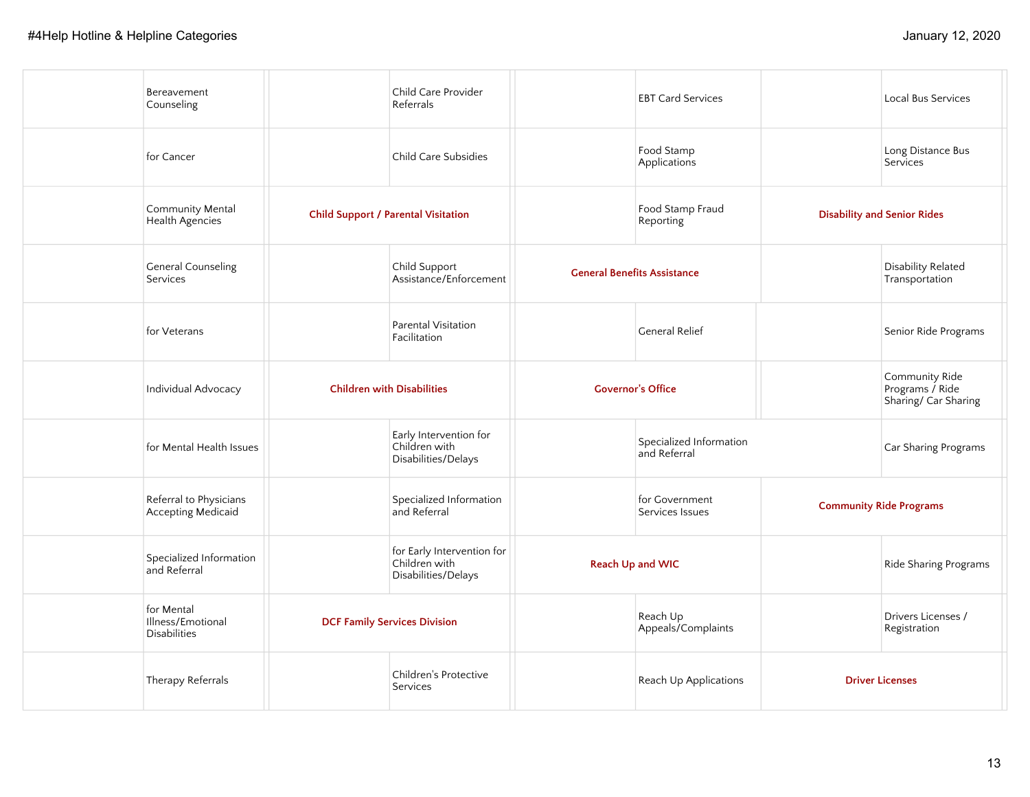| Bereavement<br>Counseling                              |                                            | Child Care Provider<br>Referrals                                   |                                    | <b>EBT Card Services</b>                |                                    | Local Bus Services                                        |
|--------------------------------------------------------|--------------------------------------------|--------------------------------------------------------------------|------------------------------------|-----------------------------------------|------------------------------------|-----------------------------------------------------------|
| for Cancer                                             |                                            | Child Care Subsidies                                               |                                    | Food Stamp<br>Applications              |                                    | Long Distance Bus<br>Services                             |
| Community Mental<br>Health Agencies                    | <b>Child Support / Parental Visitation</b> |                                                                    |                                    | Food Stamp Fraud<br>Reporting           | <b>Disability and Senior Rides</b> |                                                           |
| <b>General Counseling</b><br>Services                  |                                            | Child Support<br>Assistance/Enforcement                            | <b>General Benefits Assistance</b> |                                         |                                    | <b>Disability Related</b><br>Transportation               |
| for Veterans                                           |                                            | <b>Parental Visitation</b><br>Facilitation                         |                                    | <b>General Relief</b>                   |                                    | Senior Ride Programs                                      |
| Individual Advocacy                                    | <b>Children with Disabilities</b>          |                                                                    | <b>Governor's Office</b>           |                                         |                                    | Community Ride<br>Programs / Ride<br>Sharing/ Car Sharing |
| for Mental Health Issues                               |                                            | Early Intervention for<br>Children with<br>Disabilities/Delays     |                                    | Specialized Information<br>and Referral |                                    | Car Sharing Programs                                      |
| Referral to Physicians<br>Accepting Medicaid           |                                            | Specialized Information<br>and Referral                            |                                    | for Government<br>Services Issues       | <b>Community Ride Programs</b>     |                                                           |
| Specialized Information<br>and Referral                |                                            | for Early Intervention for<br>Children with<br>Disabilities/Delays | Reach Up and WIC                   |                                         |                                    | Ride Sharing Programs                                     |
| for Mental<br>Illness/Emotional<br><b>Disabilities</b> | <b>DCF Family Services Division</b>        |                                                                    |                                    | Reach Up<br>Appeals/Complaints          |                                    | Drivers Licenses /<br>Registration                        |
| Therapy Referrals                                      |                                            | Children's Protective<br>Services                                  |                                    | Reach Up Applications                   | <b>Driver Licenses</b>             |                                                           |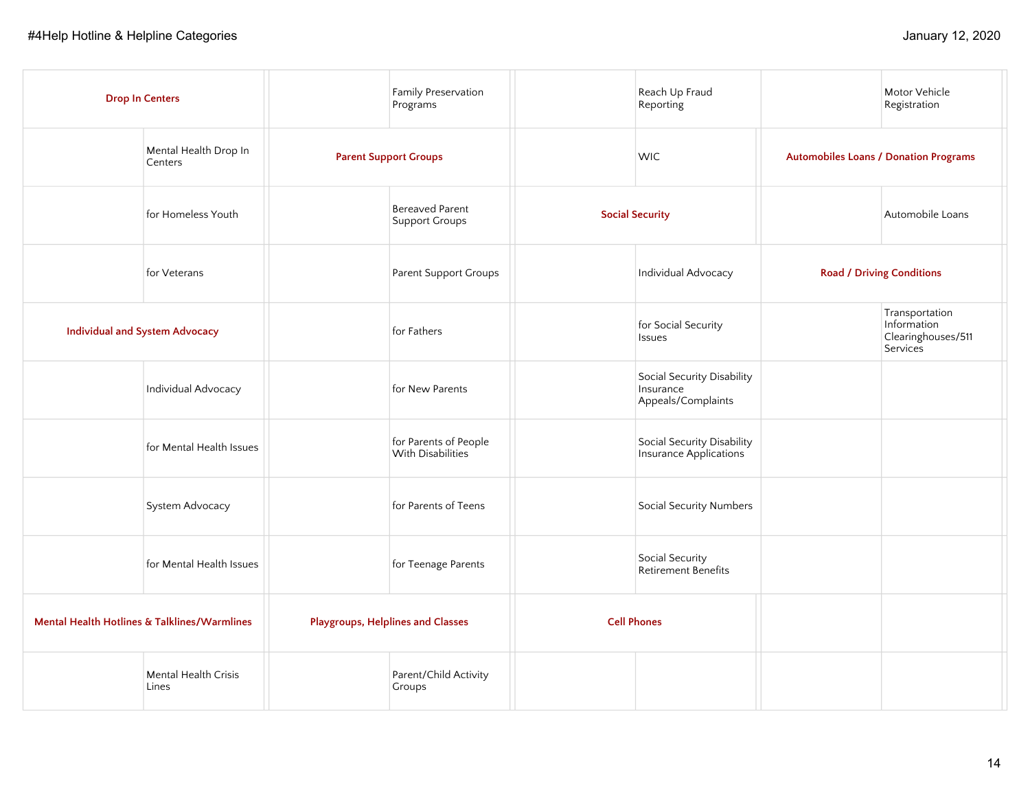|                                       | <b>Drop In Centers</b>                                  |                              | Family Preservation<br>Programs            |                    | Reach Up Fraud<br>Reporting                                   |                                              | Motor Vehicle<br>Registration                                   |
|---------------------------------------|---------------------------------------------------------|------------------------------|--------------------------------------------|--------------------|---------------------------------------------------------------|----------------------------------------------|-----------------------------------------------------------------|
|                                       | Mental Health Drop In<br>Centers                        | <b>Parent Support Groups</b> |                                            |                    | <b>WIC</b>                                                    | <b>Automobiles Loans / Donation Programs</b> |                                                                 |
|                                       | for Homeless Youth                                      |                              | <b>Bereaved Parent</b><br>Support Groups   |                    | <b>Social Security</b>                                        |                                              | Automobile Loans                                                |
|                                       | for Veterans                                            |                              | Parent Support Groups                      |                    | Individual Advocacy                                           | <b>Road / Driving Conditions</b>             |                                                                 |
| <b>Individual and System Advocacy</b> |                                                         |                              | for Fathers                                |                    | for Social Security<br>Issues                                 |                                              | Transportation<br>Information<br>Clearinghouses/511<br>Services |
|                                       | Individual Advocacy                                     |                              | for New Parents                            |                    | Social Security Disability<br>Insurance<br>Appeals/Complaints |                                              |                                                                 |
|                                       | for Mental Health Issues                                |                              | for Parents of People<br>With Disabilities |                    | Social Security Disability<br>Insurance Applications          |                                              |                                                                 |
|                                       | System Advocacy                                         |                              | for Parents of Teens                       |                    | Social Security Numbers                                       |                                              |                                                                 |
|                                       | for Mental Health Issues                                |                              | for Teenage Parents                        |                    | Social Security<br>Retirement Benefits                        |                                              |                                                                 |
|                                       | <b>Mental Health Hotlines &amp; Talklines/Warmlines</b> |                              | <b>Playgroups, Helplines and Classes</b>   | <b>Cell Phones</b> |                                                               |                                              |                                                                 |
|                                       | Mental Health Crisis<br>Lines                           |                              | Parent/Child Activity<br>Groups            |                    |                                                               |                                              |                                                                 |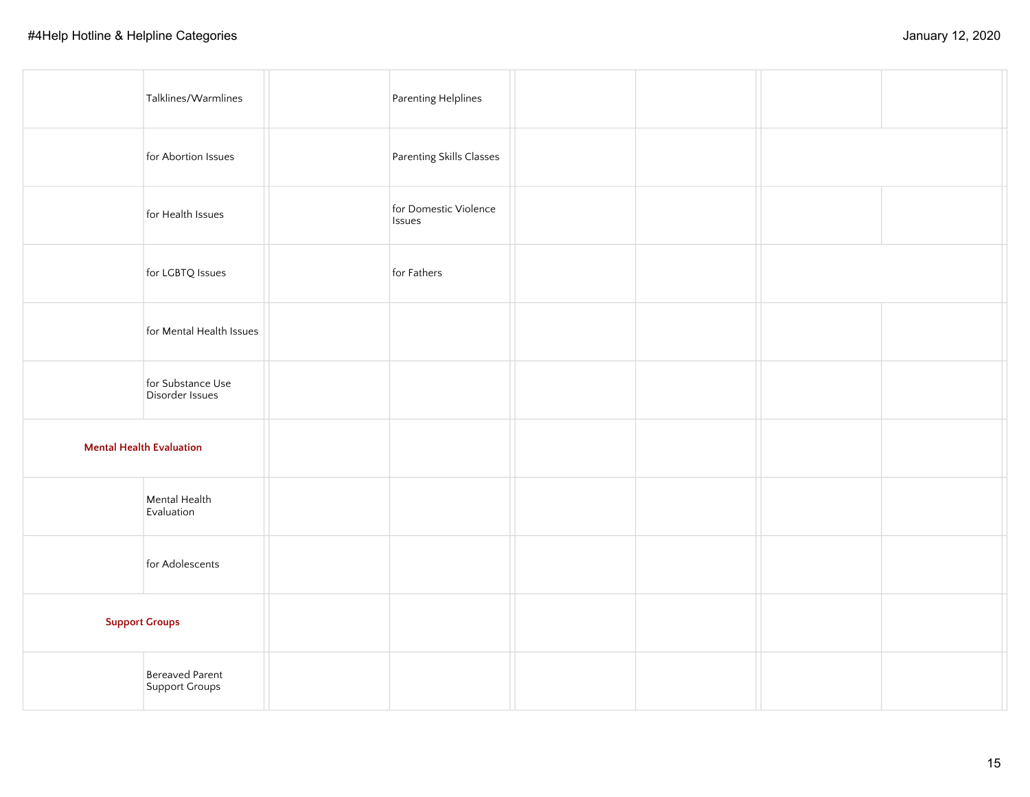| Talklines/Warmlines                  | Parenting Helplines             |  |  |
|--------------------------------------|---------------------------------|--|--|
| for Abortion Issues                  | Parenting Skills Classes        |  |  |
| for Health Issues                    | for Domestic Violence<br>Issues |  |  |
| for LGBTQ Issues                     | for Fathers                     |  |  |
| for Mental Health Issues             |                                 |  |  |
| for Substance Use<br>Disorder Issues |                                 |  |  |
| <b>Mental Health Evaluation</b>      |                                 |  |  |
| Mental Health<br>Evaluation          |                                 |  |  |
| for Adolescents                      |                                 |  |  |
| <b>Support Groups</b>                |                                 |  |  |
| Bereaved Parent<br>Support Groups    |                                 |  |  |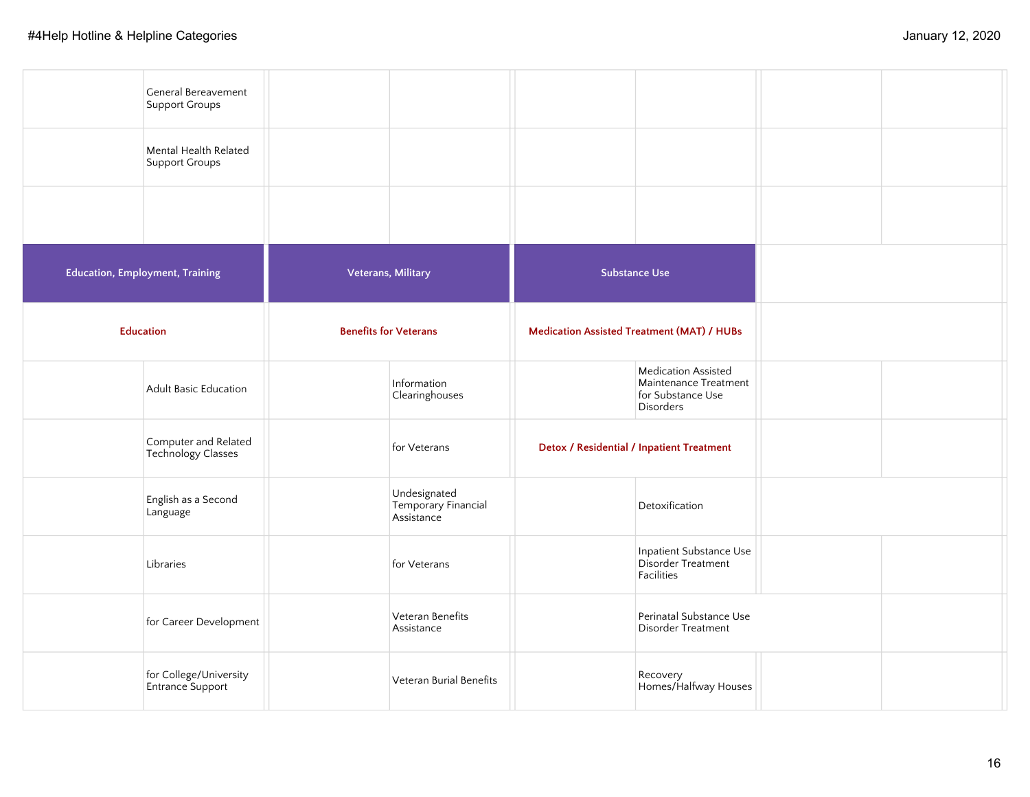|                                        | General Bereavement<br>Support Groups      |                              |                                                   |                                                                                |  |
|----------------------------------------|--------------------------------------------|------------------------------|---------------------------------------------------|--------------------------------------------------------------------------------|--|
|                                        | Mental Health Related<br>Support Groups    |                              |                                                   |                                                                                |  |
|                                        |                                            |                              |                                                   |                                                                                |  |
| <b>Education, Employment, Training</b> |                                            |                              | Veterans, Military                                | <b>Substance Use</b>                                                           |  |
| <b>Education</b>                       |                                            | <b>Benefits for Veterans</b> |                                                   | <b>Medication Assisted Treatment (MAT) / HUBs</b>                              |  |
|                                        | Adult Basic Education                      |                              | Information<br>Clearinghouses                     | Medication Assisted<br>Maintenance Treatment<br>for Substance Use<br>Disorders |  |
|                                        | Computer and Related<br>Technology Classes |                              | for Veterans                                      | Detox / Residential / Inpatient Treatment                                      |  |
|                                        | English as a Second<br>Language            |                              | Undesignated<br>Temporary Financial<br>Assistance | Detoxification                                                                 |  |
|                                        | Libraries                                  |                              | for Veterans                                      | Inpatient Substance Use<br>Disorder Treatment<br>Facilities                    |  |
|                                        | for Career Development                     |                              | Veteran Benefits<br>Assistance                    | Perinatal Substance Use<br>Disorder Treatment                                  |  |
|                                        | for College/University<br>Entrance Support |                              | Veteran Burial Benefits                           | Recovery<br>Homes/Halfway Houses                                               |  |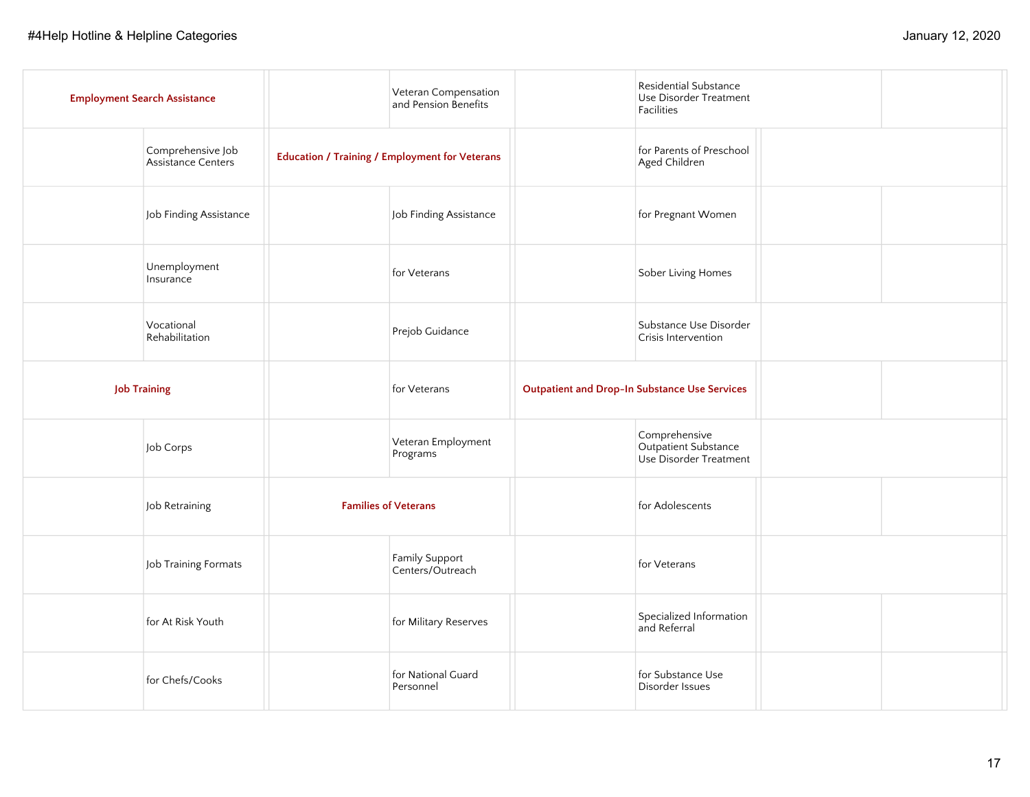| <b>Employment Search Assistance</b>     | Veteran Compensation<br>and Pension Benefits          | Residential Substance<br>Use Disorder Treatment<br><b>Facilities</b> |  |
|-----------------------------------------|-------------------------------------------------------|----------------------------------------------------------------------|--|
| Comprehensive Job<br>Assistance Centers | <b>Education / Training / Employment for Veterans</b> | for Parents of Preschool<br>Aged Children                            |  |
| Job Finding Assistance                  | Job Finding Assistance                                | for Pregnant Women                                                   |  |
| Unemployment<br>Insurance               | for Veterans                                          | Sober Living Homes                                                   |  |
| Vocational<br>Rehabilitation            | Prejob Guidance                                       | Substance Use Disorder<br>Crisis Intervention                        |  |
| <b>Job Training</b>                     | for Veterans                                          | <b>Outpatient and Drop-In Substance Use Services</b>                 |  |
| Job Corps                               | Veteran Employment<br>Programs                        | Comprehensive<br>Outpatient Substance<br>Use Disorder Treatment      |  |
| Job Retraining                          | <b>Families of Veterans</b>                           | for Adolescents                                                      |  |
| Job Training Formats                    | Family Support<br>Centers/Outreach                    | for Veterans                                                         |  |
| for At Risk Youth                       | for Military Reserves                                 | Specialized Information<br>and Referral                              |  |
| for Chefs/Cooks                         | for National Guard<br>Personnel                       | for Substance Use<br>Disorder Issues                                 |  |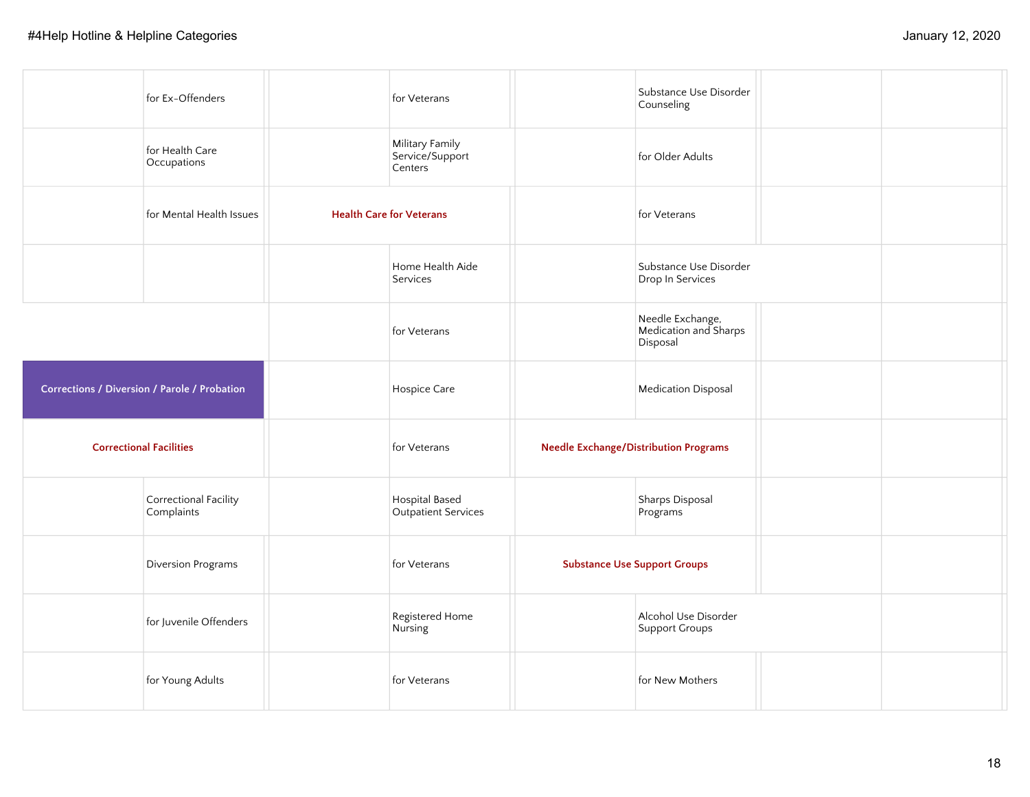| for Ex-Offenders                             | for Veterans                                  | Substance Use Disorder<br>Counseling                  |  |
|----------------------------------------------|-----------------------------------------------|-------------------------------------------------------|--|
| for Health Care<br>Occupations               | Military Family<br>Service/Support<br>Centers | for Older Adults                                      |  |
| for Mental Health Issues                     | <b>Health Care for Veterans</b>               | for Veterans                                          |  |
|                                              | Home Health Aide<br>Services                  | Substance Use Disorder<br>Drop In Services            |  |
|                                              | for Veterans                                  | Needle Exchange,<br>Medication and Sharps<br>Disposal |  |
| Corrections / Diversion / Parole / Probation | Hospice Care                                  | <b>Medication Disposal</b>                            |  |
| <b>Correctional Facilities</b>               | for Veterans                                  | <b>Needle Exchange/Distribution Programs</b>          |  |
| Correctional Facility<br>Complaints          | Hospital Based<br>Outpatient Services         | Sharps Disposal<br>Programs                           |  |
| Diversion Programs                           | for Veterans                                  | <b>Substance Use Support Groups</b>                   |  |
| for Juvenile Offenders                       | Registered Home<br>Nursing                    | Alcohol Use Disorder<br>Support Groups                |  |
| for Young Adults                             | for Veterans                                  | for New Mothers                                       |  |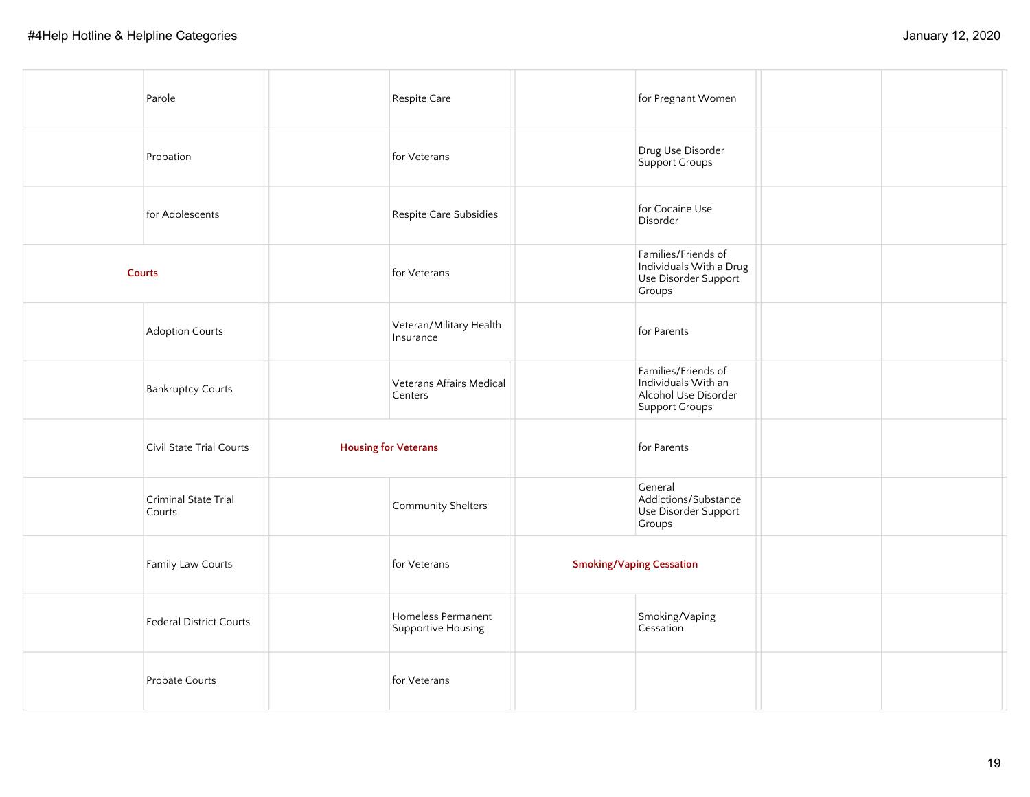| Parole                         |                             | Respite Care                             | for Pregnant Women                                                                   |  |
|--------------------------------|-----------------------------|------------------------------------------|--------------------------------------------------------------------------------------|--|
| Probation                      |                             | for Veterans                             | Drug Use Disorder<br>Support Groups                                                  |  |
| for Adolescents                |                             | Respite Care Subsidies                   | for Cocaine Use<br>Disorder                                                          |  |
| <b>Courts</b>                  |                             | for Veterans                             | Families/Friends of<br>Individuals With a Drug<br>Use Disorder Support<br>Groups     |  |
| Adoption Courts                |                             | Veteran/Military Health<br>Insurance     | for Parents                                                                          |  |
| <b>Bankruptcy Courts</b>       |                             | Veterans Affairs Medical<br>Centers      | Families/Friends of<br>Individuals With an<br>Alcohol Use Disorder<br>Support Groups |  |
| Civil State Trial Courts       | <b>Housing for Veterans</b> |                                          | for Parents                                                                          |  |
| Criminal State Trial<br>Courts |                             | Community Shelters                       | General<br>Addictions/Substance<br>Use Disorder Support<br>Groups                    |  |
| Family Law Courts              |                             | for Veterans                             | <b>Smoking/Vaping Cessation</b>                                                      |  |
| Federal District Courts        |                             | Homeless Permanent<br>Supportive Housing | Smoking/Vaping<br>Cessation                                                          |  |
| Probate Courts                 |                             | for Veterans                             |                                                                                      |  |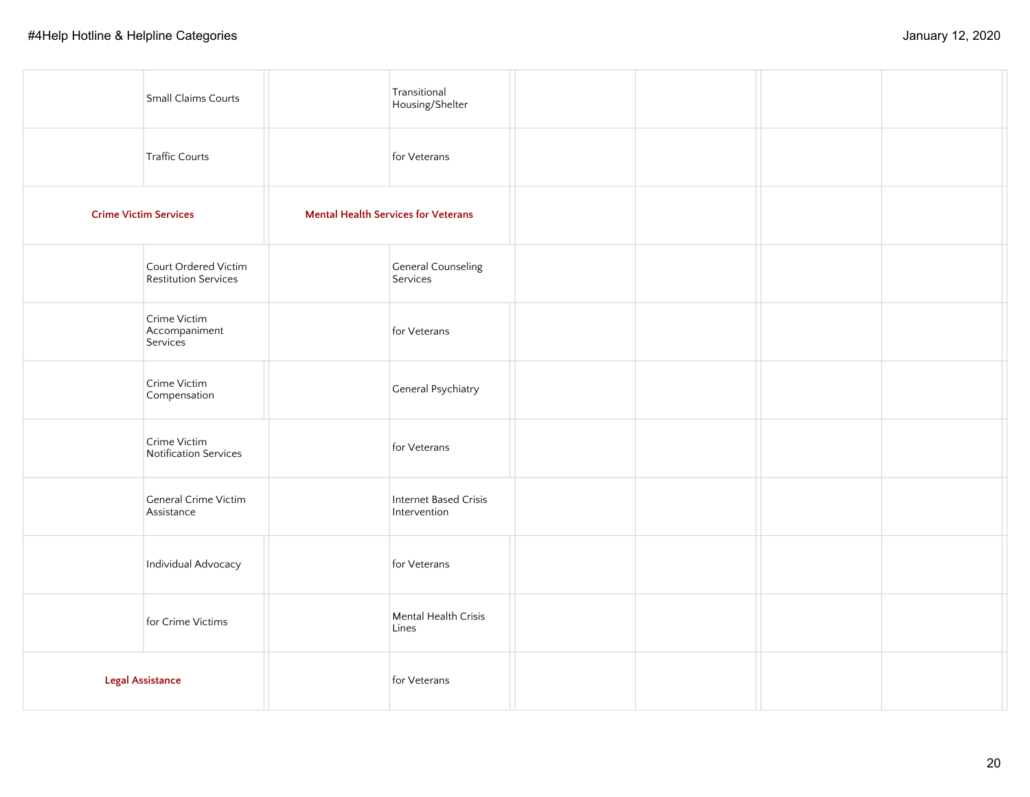| Small Claims Courts                                 | Transitional<br>Housing/Shelter            |  |  |
|-----------------------------------------------------|--------------------------------------------|--|--|
| Traffic Courts                                      | for Veterans                               |  |  |
| <b>Crime Victim Services</b>                        | <b>Mental Health Services for Veterans</b> |  |  |
| Court Ordered Victim<br><b>Restitution Services</b> | <b>General Counseling</b><br>Services      |  |  |
| Crime Victim<br>Accompaniment<br>Services           | for Veterans                               |  |  |
| Crime Victim<br>Compensation                        | General Psychiatry                         |  |  |
| Crime Victim<br>Notification Services               | for Veterans                               |  |  |
| General Crime Victim<br>Assistance                  | Internet Based Crisis<br>Intervention      |  |  |
| Individual Advocacy                                 | for Veterans                               |  |  |
| for Crime Victims                                   | Mental Health Crisis<br>Lines              |  |  |
| <b>Legal Assistance</b>                             | for Veterans                               |  |  |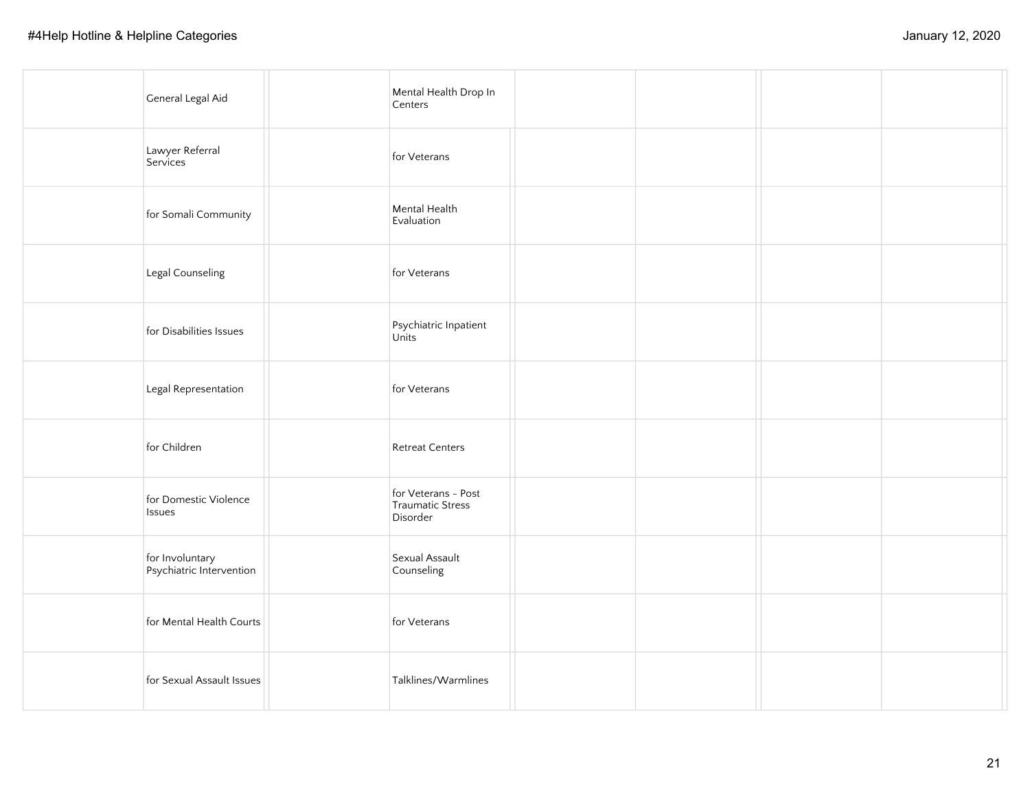| General Legal Aid                           | Mental Health Drop In<br>Centers                    |  |  |
|---------------------------------------------|-----------------------------------------------------|--|--|
| Lawyer Referral<br>Services                 | for Veterans                                        |  |  |
| for Somali Community                        | Mental Health<br>Evaluation                         |  |  |
| Legal Counseling                            | for Veterans                                        |  |  |
| for Disabilities Issues                     | Psychiatric Inpatient<br>Units                      |  |  |
| Legal Representation                        | for Veterans                                        |  |  |
| for Children                                | <b>Retreat Centers</b>                              |  |  |
| for Domestic Violence<br>Issues             | for Veterans - Post<br>Traumatic Stress<br>Disorder |  |  |
| for Involuntary<br>Psychiatric Intervention | Sexual Assault<br>Counseling                        |  |  |
| for Mental Health Courts                    | for Veterans                                        |  |  |
| for Sexual Assault Issues                   | Talklines/Warmlines                                 |  |  |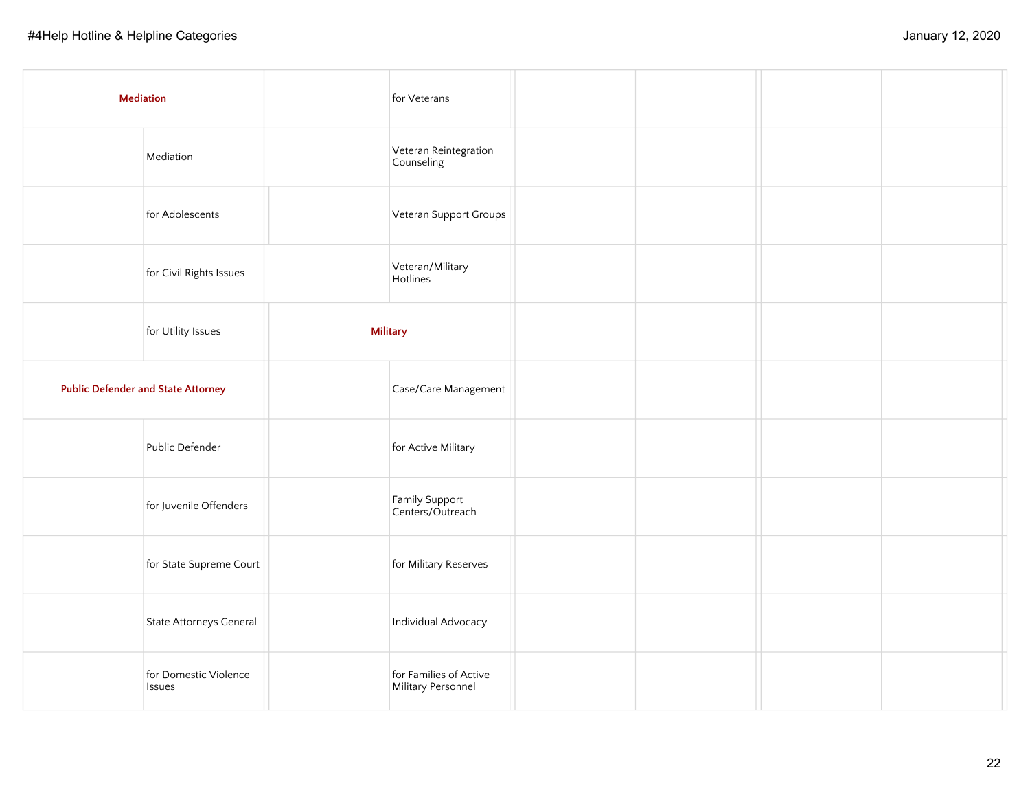| <b>Mediation</b>                          |                                        | for Veterans                                 |  |  |
|-------------------------------------------|----------------------------------------|----------------------------------------------|--|--|
|                                           | Mediation                              | Veteran Reintegration<br>Counseling          |  |  |
|                                           | for Adolescents                        | Veteran Support Groups                       |  |  |
|                                           | for Civil Rights Issues                | Veteran/Military<br>Hotlines                 |  |  |
|                                           | for Utility Issues                     | <b>Military</b>                              |  |  |
| <b>Public Defender and State Attorney</b> |                                        | Case/Care Management                         |  |  |
|                                           | Public Defender                        | for Active Military                          |  |  |
|                                           | for Juvenile Offenders                 | Family Support<br>Centers/Outreach           |  |  |
|                                           | for State Supreme Court                | for Military Reserves                        |  |  |
|                                           | State Attorneys General                | Individual Advocacy                          |  |  |
|                                           | for Domestic Violence<br><b>Issues</b> | for Families of Active<br>Military Personnel |  |  |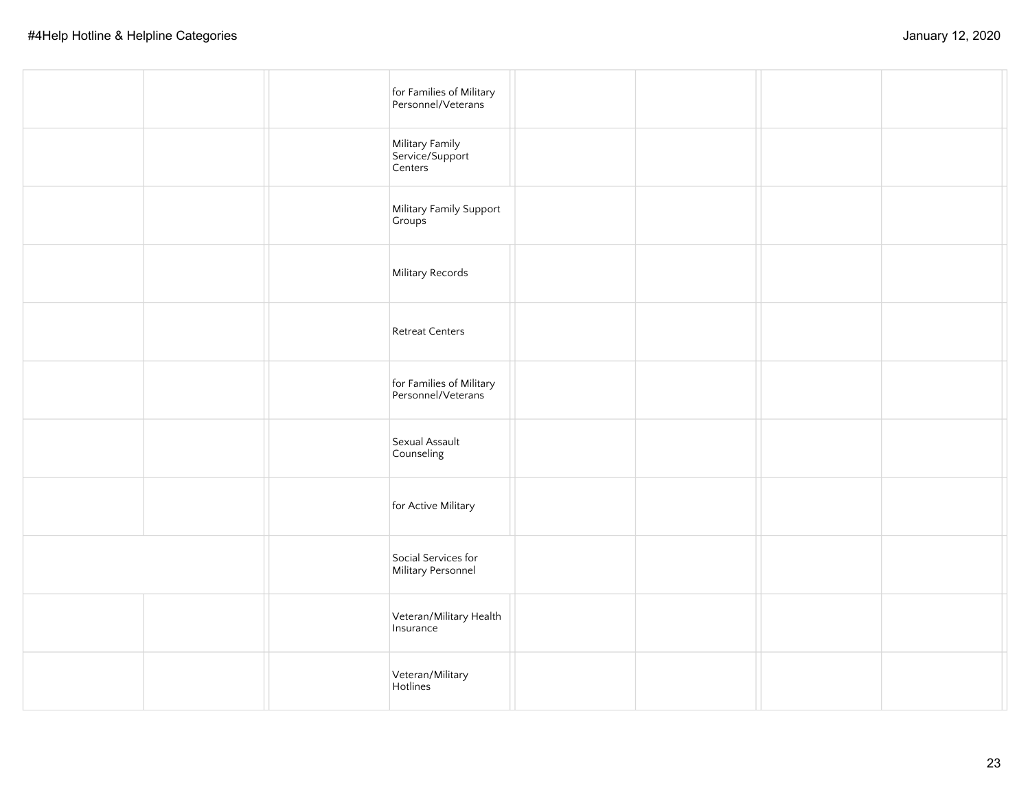|  | for Families of Military<br>Personnel/Veterans |  |  |
|--|------------------------------------------------|--|--|
|  | Military Family<br>Service/Support<br>Centers  |  |  |
|  | Military Family Support<br>Groups              |  |  |
|  | Military Records                               |  |  |
|  | <b>Retreat Centers</b>                         |  |  |
|  | for Families of Military<br>Personnel/Veterans |  |  |
|  | Sexual Assault<br>Counseling                   |  |  |
|  | for Active Military                            |  |  |
|  | Social Services for<br>Military Personnel      |  |  |
|  | Veteran/Military Health<br>Insurance           |  |  |
|  | Veteran/Military<br>Hotlines                   |  |  |